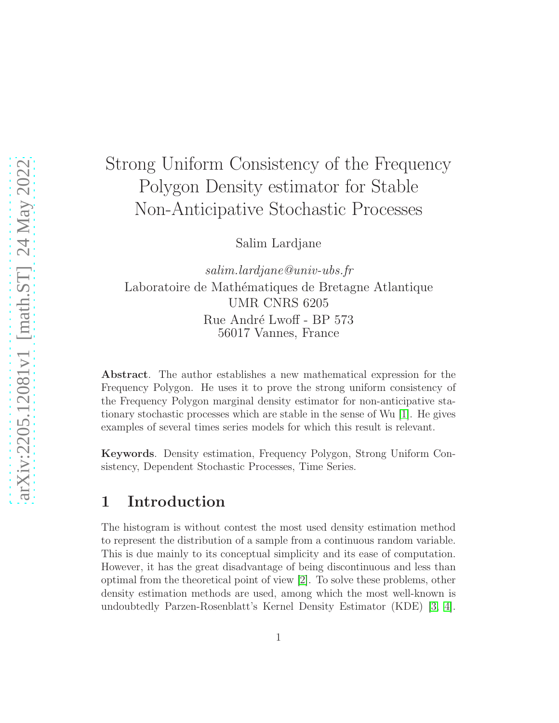# Strong Uniform Consistency of the Frequency Polygon Density estimator for Stable Non-Anticipative Stochastic Processes

Salim Lardjane

*salim.lardjane@univ-ubs.fr* Laboratoire de Mathématiques de Bretagne Atlantique UMR CNRS 6205 Rue André Lwoff - BP 573 56017 Vannes, France

Abstract. The author establishes a new mathematical expression for the Frequency Polygon. He uses it to prove the strong uniform consistency of the Frequency Polygon marginal density estimator for non-anticipative stationary stochastic processes which are stable in the sense of Wu [\[1\]](#page-10-0). He gives examples of several times series models for which this result is relevant.

Keywords. Density estimation, Frequency Polygon, Strong Uniform Consistency, Dependent Stochastic Processes, Time Series.

## 1 Introduction

The histogram is without contest the most used density estimation method to represent the distribution of a sample from a continuous random variable. This is due mainly to its conceptual simplicity and its ease of computation. However, it has the great disadvantage of being discontinuous and less than optimal from the theoretical point of view [\[2\]](#page-10-1). To solve these problems, other density estimation methods are used, among which the most well-known is undoubtedly Parzen-Rosenblatt's Kernel Density Estimator (KDE) [\[3,](#page-10-2) [4\]](#page-10-3).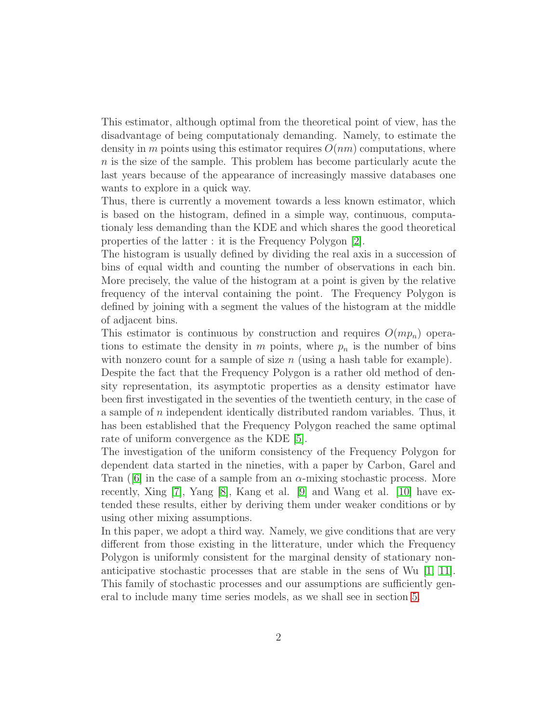This estimator, although optimal from the theoretical point of view, has the disadvantage of being computationaly demanding. Namely, to estimate the density in m points using this estimator requires  $O(nm)$  computations, where n is the size of the sample. This problem has become particularly acute the last years because of the appearance of increasingly massive databases one wants to explore in a quick way.

Thus, there is currently a movement towards a less known estimator, which is based on the histogram, defined in a simple way, continuous, computationaly less demanding than the KDE and which shares the good theoretical properties of the latter : it is the Frequency Polygon [\[2\]](#page-10-1).

The histogram is usually defined by dividing the real axis in a succession of bins of equal width and counting the number of observations in each bin. More precisely, the value of the histogram at a point is given by the relative frequency of the interval containing the point. The Frequency Polygon is defined by joining with a segment the values of the histogram at the middle of adjacent bins.

This estimator is continuous by construction and requires  $O(mp_n)$  operations to estimate the density in  $m$  points, where  $p_n$  is the number of bins with nonzero count for a sample of size  $n$  (using a hash table for example). Despite the fact that the Frequency Polygon is a rather old method of den-

sity representation, its asymptotic properties as a density estimator have been first investigated in the seventies of the twentieth century, in the case of a sample of  $n$  independent identically distributed random variables. Thus, it has been established that the Frequency Polygon reached the same optimal rate of uniform convergence as the KDE [\[5\]](#page-10-4).

The investigation of the uniform consistency of the Frequency Polygon for dependent data started in the nineties, with a paper by Carbon, Garel and Tran ( $\lceil 6 \rceil$  in the case of a sample from an  $\alpha$ -mixing stochastic process. More recently, Xing [\[7\]](#page-10-6), Yang [\[8\]](#page-10-7), Kang et al. [\[9\]](#page-10-8) and Wang et al. [\[10\]](#page-10-9) have extended these results, either by deriving them under weaker conditions or by using other mixing assumptions.

In this paper, we adopt a third way. Namely, we give conditions that are very different from those existing in the litterature, under which the Frequency Polygon is uniformly consistent for the marginal density of stationary nonanticipative stochastic processes that are stable in the sens of Wu  $[1, 11]$  $[1, 11]$ . This family of stochastic processes and our assumptions are sufficiently general to include many time series models, as we shall see in section [5.](#page-8-0)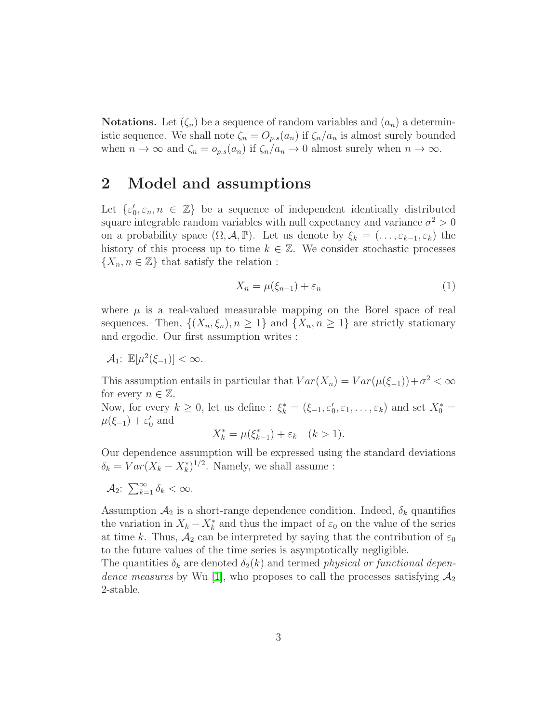**Notations.** Let  $(\zeta_n)$  be a sequence of random variables and  $(a_n)$  a deterministic sequence. We shall note  $\zeta_n = O_{p,s}(a_n)$  if  $\zeta_n/a_n$  is almost surely bounded when  $n \to \infty$  and  $\zeta_n = o_{p,s}(a_n)$  if  $\zeta_n/a_n \to 0$  almost surely when  $n \to \infty$ .

## 2 Model and assumptions

Let  $\{\varepsilon_0', \varepsilon_n, n \in \mathbb{Z}\}$  be a sequence of independent identically distributed square integrable random variables with null expectancy and variance  $\sigma^2 > 0$ on a probability space  $(\Omega, \mathcal{A}, \mathbb{P})$ . Let us denote by  $\xi_k = (\ldots, \varepsilon_{k-1}, \varepsilon_k)$  the history of this process up to time  $k \in \mathbb{Z}$ . We consider stochastic processes  $\{X_n, n \in \mathbb{Z}\}\$  that satisfy the relation :

$$
X_n = \mu(\xi_{n-1}) + \varepsilon_n \tag{1}
$$

where  $\mu$  is a real-valued measurable mapping on the Borel space of real sequences. Then,  $\{(X_n,\xi_n), n \geq 1\}$  and  $\{X_n, n \geq 1\}$  are strictly stationary and ergodic. Our first assumption writes :

 $A_1$ :  $\mathbb{E}[\mu^2(\xi_{-1})] < \infty$ .

This assumption entails in particular that  $Var(X_n) = Var(\mu(\xi_{-1})) + \sigma^2 < \infty$ for every  $n \in \mathbb{Z}$ .

Now, for every  $k \geq 0$ , let us define :  $\xi_k^* = (\xi_{-1}, \varepsilon'_0, \varepsilon_1, \ldots, \varepsilon_k)$  and set  $X_0^* =$  $\mu(\xi_{-1}) + \varepsilon'_0$  and

$$
X_k^* = \mu(\xi_{k-1}^*) + \varepsilon_k \quad (k > 1).
$$

Our dependence assumption will be expressed using the standard deviations  $\delta_k = Var(X_k - X_k^*)^{1/2}$ . Namely, we shall assume :

$$
\mathcal{A}_2: \ \sum_{k=1}^{\infty} \delta_k < \infty.
$$

Assumption  $A_2$  is a short-range dependence condition. Indeed,  $\delta_k$  quantifies the variation in  $X_k - X_k^*$  and thus the impact of  $\varepsilon_0$  on the value of the series at time k. Thus,  $A_2$  can be interpreted by saying that the contribution of  $\varepsilon_0$ to the future values of the time series is asymptotically negligible.

The quantities  $\delta_k$  are denoted  $\delta_2(k)$  and termed *physical or functional dependence measures* by Wu [\[1\]](#page-10-0), who proposes to call the processes satisfying  $A_2$ 2-stable.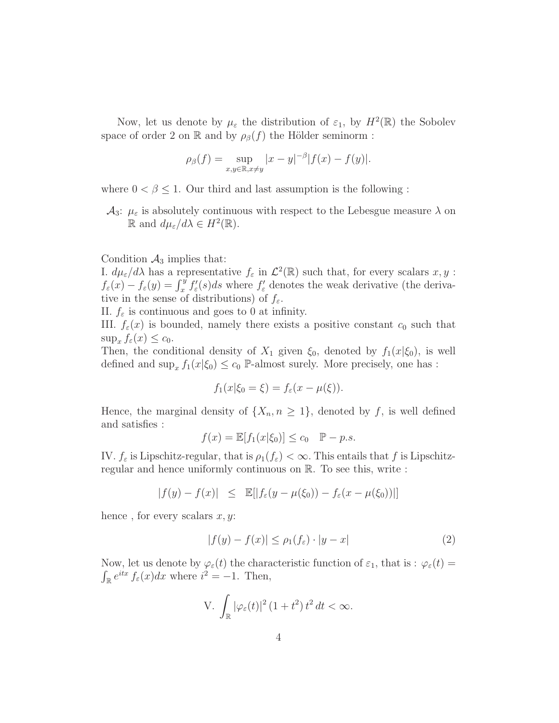Now, let us denote by  $\mu_{\varepsilon}$  the distribution of  $\varepsilon_1$ , by  $H^2(\mathbb{R})$  the Sobolev space of order 2 on R and by  $\rho_{\beta}(f)$  the Hölder seminorm :

$$
\rho_{\beta}(f) = \sup_{x,y \in \mathbb{R}, x \neq y} |x - y|^{-\beta} |f(x) - f(y)|.
$$

where  $0 < \beta \leq 1$ . Our third and last assumption is the following :

 $\mathcal{A}_3$ :  $\mu_{\varepsilon}$  is absolutely continuous with respect to the Lebesgue measure  $\lambda$  on  $\mathbb{R}$  and  $d\mu_{\varepsilon}/d\lambda \in H^2(\mathbb{R})$ .

Condition  $\mathcal{A}_3$  implies that:

I.  $d\mu_{\varepsilon}/d\lambda$  has a representative  $f_{\varepsilon}$  in  $\mathcal{L}^2(\mathbb{R})$  such that, for every scalars  $x, y$ :  $f_{\varepsilon}(x) - f_{\varepsilon}(y) = \int_x^y f'_{\varepsilon}(s)ds$  where  $f'_{\varepsilon}$  denotes the weak derivative (the derivative in the sense of distributions) of  $f_{\varepsilon}$ .

II.  $f_{\varepsilon}$  is continuous and goes to 0 at infinity.

III.  $f_{\varepsilon}(x)$  is bounded, namely there exists a positive constant  $c_0$  such that  $\sup_x f_\varepsilon(x) \leq c_0.$ 

Then, the conditional density of  $X_1$  given  $\xi_0$ , denoted by  $f_1(x|\xi_0)$ , is well defined and  $\sup_x f_1(x|\xi_0) \leq c_0$  P-almost surely. More precisely, one has :

$$
f_1(x|\xi_0 = \xi) = f_{\varepsilon}(x - \mu(\xi)).
$$

Hence, the marginal density of  $\{X_n, n \geq 1\}$ , denoted by f, is well defined and satisfies :

$$
f(x) = \mathbb{E}[f_1(x|\xi_0)] \le c_0 \quad \mathbb{P} - p.s.
$$

IV.  $f_{\varepsilon}$  is Lipschitz-regular, that is  $\rho_1(f_{\varepsilon}) < \infty$ . This entails that f is Lipschitzregular and hence uniformly continuous on R. To see this, write :

$$
|f(y) - f(x)| \leq \mathbb{E}[|f_{\varepsilon}(y - \mu(\xi_0)) - f_{\varepsilon}(x - \mu(\xi_0))|]
$$

hence, for every scalars  $x, y$ :

$$
|f(y) - f(x)| \le \rho_1(f_\varepsilon) \cdot |y - x| \tag{2}
$$

Now, let us denote by  $\varphi_{\varepsilon}(t)$  the characteristic function of  $\varepsilon_1$ , that is :  $\varphi_{\varepsilon}(t)$  =  $\int_{\mathbb{R}} e^{itx} f_{\varepsilon}(x) dx$  where  $i^2 = -1$ . Then,

V. 
$$
\int_{\mathbb{R}} |\varphi_{\varepsilon}(t)|^2 (1+t^2) t^2 dt < \infty.
$$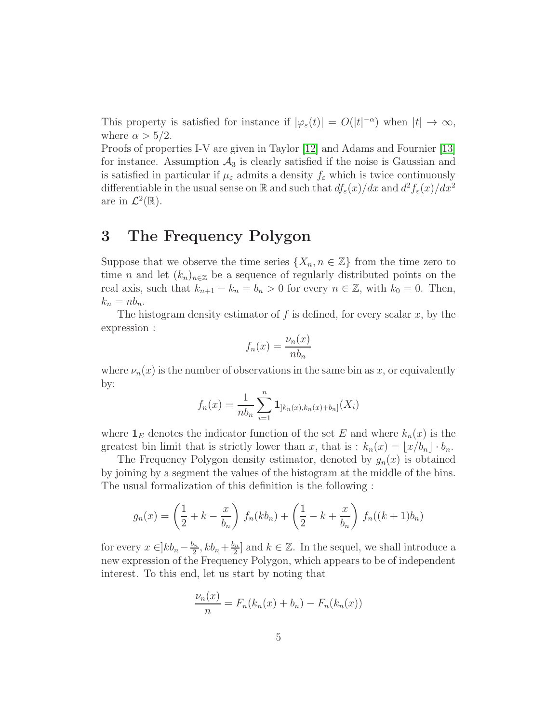This property is satisfied for instance if  $|\varphi_{\varepsilon}(t)| = O(|t|^{-\alpha})$  when  $|t| \to \infty$ , where  $\alpha > 5/2$ .

Proofs of properties I-V are given in Taylor [\[12\]](#page-10-11) and Adams and Fournier [\[13\]](#page-11-0) for instance. Assumption  $A_3$  is clearly satisfied if the noise is Gaussian and is satisfied in particular if  $\mu_{\varepsilon}$  admits a density  $f_{\varepsilon}$  which is twice continuously differentiable in the usual sense on  $\mathbb R$  and such that  $df_{\varepsilon}(x)/dx$  and  $d^2f_{\varepsilon}(x)/dx^2$ are in  $\mathcal{L}^2(\mathbb{R})$ .

# 3 The Frequency Polygon

Suppose that we observe the time series  $\{X_n, n \in \mathbb{Z}\}\$  from the time zero to time *n* and let  $(k_n)_{n\in\mathbb{Z}}$  be a sequence of regularly distributed points on the real axis, such that  $k_{n+1} - k_n = b_n > 0$  for every  $n \in \mathbb{Z}$ , with  $k_0 = 0$ . Then,  $k_n = nb_n$ .

The histogram density estimator of  $f$  is defined, for every scalar  $x$ , by the expression :

$$
f_n(x) = \frac{\nu_n(x)}{nb_n}
$$

where  $\nu_n(x)$  is the number of observations in the same bin as x, or equivalently by:

$$
f_n(x) = \frac{1}{nb_n} \sum_{i=1}^n \mathbf{1}_{[k_n(x), k_n(x) + b_n]}(X_i)
$$

where  $\mathbf{1}_E$  denotes the indicator function of the set E and where  $k_n(x)$  is the greatest bin limit that is strictly lower than x, that is :  $k_n(x) = |x/b_n| \cdot b_n$ .

The Frequency Polygon density estimator, denoted by  $g_n(x)$  is obtained by joining by a segment the values of the histogram at the middle of the bins. The usual formalization of this definition is the following :

$$
g_n(x) = \left(\frac{1}{2} + k - \frac{x}{b_n}\right) f_n(kb_n) + \left(\frac{1}{2} - k + \frac{x}{b_n}\right) f_n((k+1)b_n)
$$

for every  $x \in ]kb_n - \frac{b_n}{2}$  $\frac{b_n}{2}$ ,  $kb_n+\frac{b_n}{2}$  $\lfloor \frac{2n}{2} \rfloor$  and  $k \in \mathbb{Z}$ . In the sequel, we shall introduce a new expression of the Frequency Polygon, which appears to be of independent interest. To this end, let us start by noting that

$$
\frac{\nu_n(x)}{n} = F_n(k_n(x) + b_n) - F_n(k_n(x))
$$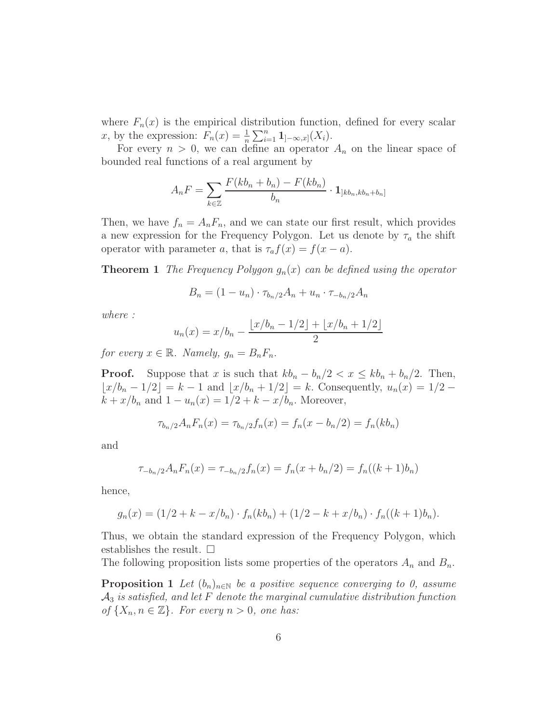where  $F_n(x)$  is the empirical distribution function, defined for every scalar x, by the expression:  $F_n(x) = \frac{1}{n} \sum_{i=1}^n \mathbf{1}_{]-\infty,x}(X_i)$ .

For every  $n > 0$ , we can define an operator  $A_n$  on the linear space of bounded real functions of a real argument by

$$
A_nF = \sum_{k \in \mathbb{Z}} \frac{F(kb_n + b_n) - F(kb_n)}{b_n} \cdot \mathbf{1}_{\left] kb_n, kb_n + b_n \right]}
$$

Then, we have  $f_n = A_n F_n$ , and we can state our first result, which provides a new expression for the Frequency Polygon. Let us denote by  $\tau_a$  the shift operator with parameter a, that is  $\tau_a f(x) = f(x - a)$ .

**Theorem 1** *The Frequency Polygon*  $g_n(x)$  *can be defined using the operator* 

$$
B_n = (1 - u_n) \cdot \tau_{b_n/2} A_n + u_n \cdot \tau_{-b_n/2} A_n
$$

*where :*

$$
u_n(x) = x/b_n - \frac{\lfloor x/b_n - 1/2 \rfloor + \lfloor x/b_n + 1/2 \rfloor}{2}
$$

*for every*  $x \in \mathbb{R}$ *. Namely,*  $g_n = B_n F_n$ *.* 

**Proof.** Suppose that x is such that  $kb_n - b_n/2 < x \leq kb_n + b_n/2$ . Then,  $\lfloor x/b_n - 1/2 \rfloor = k - 1$  and  $\lfloor x/b_n + 1/2 \rfloor = k$ . Consequently,  $u_n(x) = 1/2$  –  $k + x/b_n$  and  $1 - u_n(x) = 1/2 + k - x/b_n$ . Moreover,

$$
\tau_{b_n/2}A_nF_n(x) = \tau_{b_n/2}f_n(x) = f_n(x - b_n/2) = f_n(kb_n)
$$

and

$$
\tau_{-b_n/2}A_nF_n(x) = \tau_{-b_n/2}f_n(x) = f_n(x + b_n/2) = f_n((k+1)b_n)
$$

hence,

$$
g_n(x) = (1/2 + k - x/b_n) \cdot f_n(kb_n) + (1/2 - k + x/b_n) \cdot f_n((k+1)b_n).
$$

Thus, we obtain the standard expression of the Frequency Polygon, which establishes the result.  $\square$ 

The following proposition lists some properties of the operators  $A_n$  and  $B_n$ .

**Proposition 1** *Let*  $(b_n)_{n\in\mathbb{N}}$  *be a positive sequence converging to 0, assume* A<sup>3</sup> *is satisfied, and let* F *denote the marginal cumulative distribution function of*  $\{X_n, n \in \mathbb{Z}\}$ *. For every*  $n > 0$ *, one has:*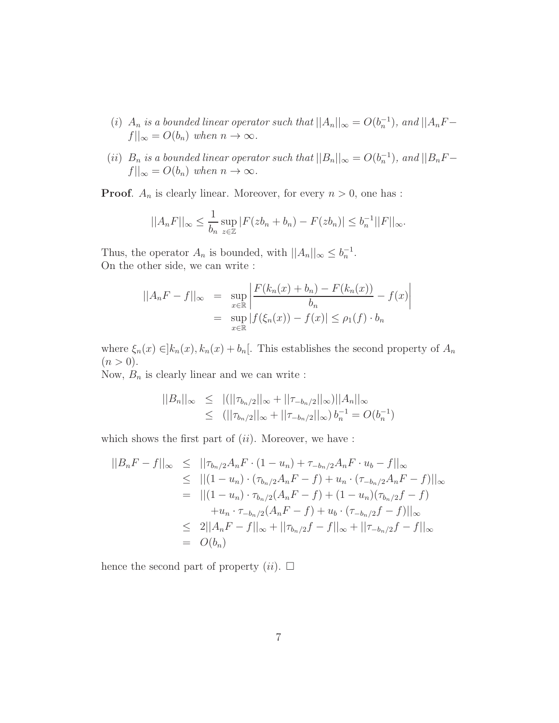- (i)  $A_n$  is a bounded linear operator such that  $||A_n||_{\infty} = O(b_n^{-1})$ , and  $||A_nF$  $f||_{\infty} = O(b_n)$  when  $n \to \infty$ .
- (*ii*)  $B_n$  *is a bounded linear operator such that*  $||B_n||_{\infty} = O(b_n^{-1})$ , and  $||B_nF$  $f||_{\infty} = O(b_n)$  when  $n \to \infty$ .

**Proof.**  $A_n$  is clearly linear. Moreover, for every  $n > 0$ , one has :

$$
||A_nF||_{\infty} \le \frac{1}{b_n} \sup_{z \in \mathbb{Z}} |F(zb_n + b_n) - F(zb_n)| \le b_n^{-1} ||F||_{\infty}.
$$

Thus, the operator  $A_n$  is bounded, with  $||A_n||_{\infty} \leq b_n^{-1}$ . On the other side, we can write :

$$
||A_nF - f||_{\infty} = \sup_{x \in \mathbb{R}} \left| \frac{F(k_n(x) + b_n) - F(k_n(x))}{b_n} - f(x) \right|
$$
  
= 
$$
\sup_{x \in \mathbb{R}} |f(\xi_n(x)) - f(x)| \le \rho_1(f) \cdot b_n
$$

where  $\xi_n(x) \in ]k_n(x), k_n(x) + b_n[$ . This establishes the second property of  $A_n$  $(n > 0).$ 

Now,  $B_n$  is clearly linear and we can write :

$$
||B_n||_{\infty} \le ||(||\tau_{b_n/2}||_{\infty} + ||\tau_{-b_n/2}||_{\infty})||A_n||_{\infty}
$$
  
 
$$
\le ||\tau_{b_n/2}||_{\infty} + ||\tau_{-b_n/2}||_{\infty}) b_n^{-1} = O(b_n^{-1})
$$

which shows the first part of  $(ii)$ . Moreover, we have :

$$
||B_nF - f||_{\infty} \leq ||\tau_{b_n/2}A_nF \cdot (1 - u_n) + \tau_{-b_n/2}A_nF \cdot u_b - f||_{\infty}
$$
  
\n
$$
\leq ||(1 - u_n) \cdot (\tau_{b_n/2}A_nF - f) + u_n \cdot (\tau_{-b_n/2}A_nF - f)||_{\infty}
$$
  
\n
$$
= ||(1 - u_n) \cdot \tau_{b_n/2}(A_nF - f) + (1 - u_n)(\tau_{b_n/2}f - f)
$$
  
\n
$$
+ u_n \cdot \tau_{-b_n/2}(A_nF - f) + u_b \cdot (\tau_{-b_n/2}f - f)||_{\infty}
$$
  
\n
$$
\leq 2||A_nF - f||_{\infty} + ||\tau_{b_n/2}f - f||_{\infty} + ||\tau_{-b_n/2}f - f||_{\infty}
$$
  
\n
$$
= O(b_n)
$$

hence the second part of property  $(ii)$ .  $\Box$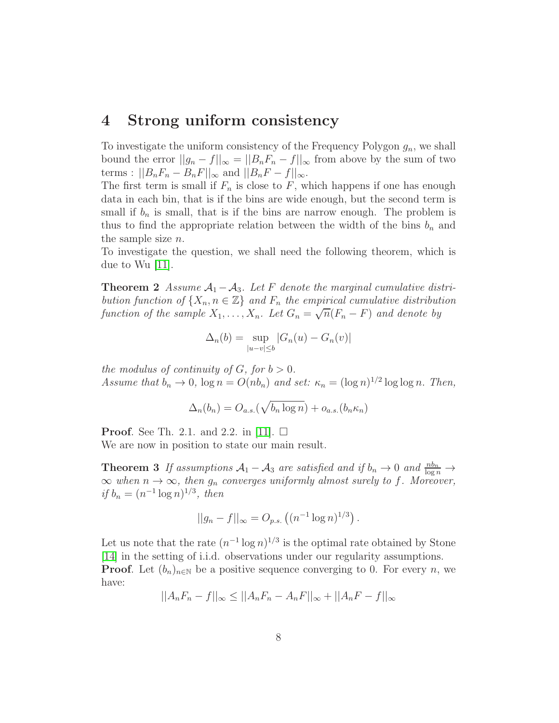### 4 Strong uniform consistency

To investigate the uniform consistency of the Frequency Polygon  $g_n$ , we shall bound the error  $||g_n - f||_{\infty} = ||B_n F_n - f||_{\infty}$  from above by the sum of two terms :  $||B_nF_n - B_nF||_{\infty}$  and  $||B_nF - f||_{\infty}$ .

The first term is small if  $F_n$  is close to F, which happens if one has enough data in each bin, that is if the bins are wide enough, but the second term is small if  $b_n$  is small, that is if the bins are narrow enough. The problem is thus to find the appropriate relation between the width of the bins  $b_n$  and the sample size  $n$ .

<span id="page-7-0"></span>To investigate the question, we shall need the following theorem, which is due to Wu [\[11\]](#page-10-10).

**Theorem 2** *Assume*  $A_1 - A_3$ *. Let* F *denote the marginal cumulative distribution function of*  $\{X_n, n \in \mathbb{Z}\}\$  *and*  $F_n$  *the empirical cumulative distribution function of the sample*  $X_1, \ldots, X_n$ . Let  $G_n = \sqrt{n}(F_n - F)$  and denote by

$$
\Delta_n(b) = \sup_{|u-v| \le b} |G_n(u) - G_n(v)|
$$

*the modulus of continuity of G, for*  $b > 0$ *. Assume that*  $b_n \to 0$ ,  $\log n = O(nb_n)$  *and set:*  $\kappa_n = (\log n)^{1/2} \log \log n$ . *Then,* 

$$
\Delta_n(b_n) = O_{a.s.}(\sqrt{b_n \log n}) + o_{a.s.}(b_n \kappa_n)
$$

**Proof.** See Th. 2.1. and 2.2. in [\[11\]](#page-10-10).  $\Box$ We are now in position to state our main result.

**Theorem 3** *If assumptions*  $A_1 - A_3$  *are satisfied and if*  $b_n \to 0$  *and*  $\frac{nb_n}{\log n} \to 0$  $\infty$  when  $n \to \infty$ , then  $g_n$  converges uniformly almost surely to f. Moreover, *if*  $b_n = (n^{-1} \log n)^{1/3}$ *, then* 

$$
||g_n - f||_{\infty} = O_{p.s.} ((n^{-1} \log n)^{1/3}).
$$

Let us note that the rate  $(n^{-1} \log n)^{1/3}$  is the optimal rate obtained by Stone [\[14\]](#page-11-1) in the setting of i.i.d. observations under our regularity assumptions. **Proof.** Let  $(b_n)_{n\in\mathbb{N}}$  be a positive sequence converging to 0. For every n, we have:

$$
||A_nF_n - f||_{\infty} \le ||A_nF_n - A_nF||_{\infty} + ||A_nF - f||_{\infty}
$$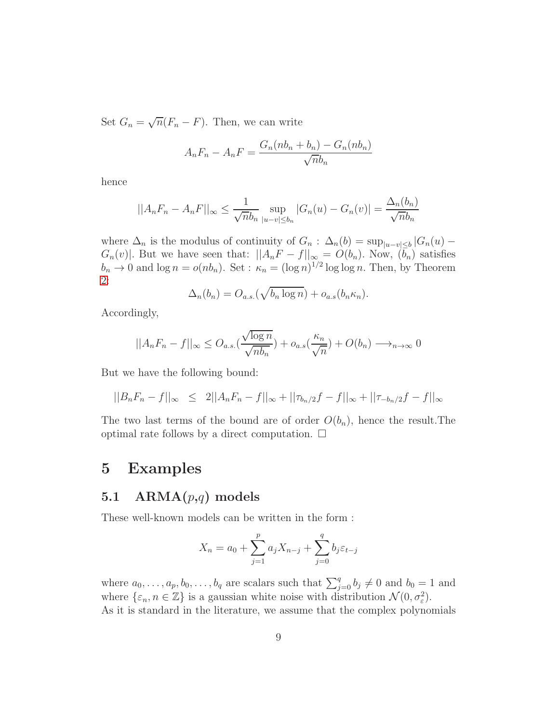Set  $G_n = \sqrt{n}(F_n - F)$ . Then, we can write

$$
A_nF_n - A_nF = \frac{G_n(nb_n + b_n) - G_n(nb_n)}{\sqrt{n}b_n}
$$

hence

$$
||A_nF_n - A_nF||_{\infty} \le \frac{1}{\sqrt{n}b_n} \sup_{|u-v| \le b_n} |G_n(u) - G_n(v)| = \frac{\Delta_n(b_n)}{\sqrt{n}b_n}
$$

where  $\Delta_n$  is the modulus of continuity of  $G_n$ :  $\Delta_n(b) = \sup_{|u-v| \leq b} |G_n(u) G_n(v)$ . But we have seen that:  $||A_nF - f||_{\infty} = O(b_n)$ . Now,  $(b_n)$  satisfies  $b_n \to 0$  and  $\log n = o(nb_n)$ . Set :  $\kappa_n = (\log n)^{1/2} \log \log n$ . Then, by Theorem [2:](#page-7-0)

$$
\Delta_n(b_n) = O_{a.s.}(\sqrt{b_n \log n}) + o_{a.s}(b_n \kappa_n).
$$

Accordingly,

$$
||A_nF_n - f||_{\infty} \le O_{a.s.}(\frac{\sqrt{\log n}}{\sqrt{nb_n}}) + o_{a.s.}(\frac{\kappa_n}{\sqrt{n}}) + O(b_n) \longrightarrow_{n \to \infty} 0
$$

But we have the following bound:

$$
||B_nF_n - f||_{\infty} \leq 2||A_nF_n - f||_{\infty} + ||\tau_{b_n/2}f - f||_{\infty} + ||\tau_{-b_n/2}f - f||_{\infty}
$$

The two last terms of the bound are of order  $O(b_n)$ , hence the result. The optimal rate follows by a direct computation.  $\Box$ 

### <span id="page-8-0"></span>5 Examples

#### 5.1  $ARMA(p,q)$  models

These well-known models can be written in the form :

$$
X_n = a_0 + \sum_{j=1}^p a_j X_{n-j} + \sum_{j=0}^q b_j \varepsilon_{t-j}
$$

where  $a_0, \ldots, a_p, b_0, \ldots, b_q$  are scalars such that  $\sum_{j=0}^q b_j \neq 0$  and  $b_0 = 1$  and where  $\{\varepsilon_n, n \in \mathbb{Z}\}\$  is a gaussian white noise with distribution  $\mathcal{N}(0, \sigma_{\varepsilon}^2)$ . As it is standard in the literature, we assume that the complex polynomials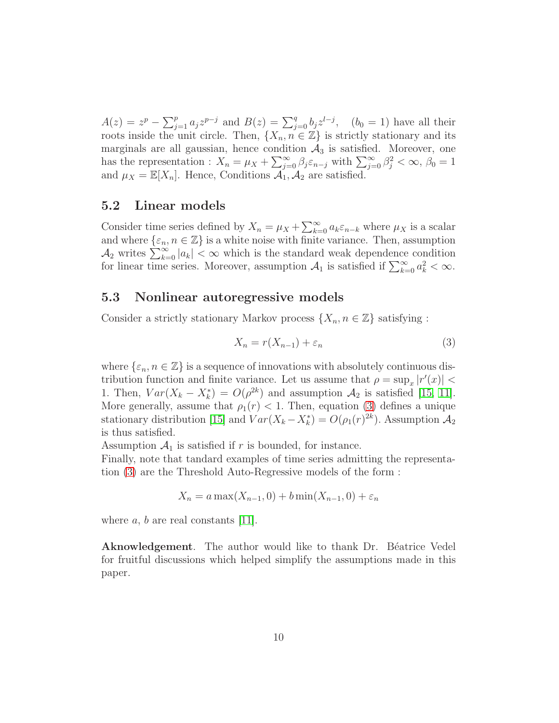$A(z) = z^p - \sum_{j=1}^p a_j z^{p-j}$  and  $B(z) = \sum_{j=0}^q b_j z^{l-j}$ ,  $(b_0 = 1)$  have all their roots inside the unit circle. Then,  $\{X_n, n \in \mathbb{Z}\}\$ is strictly stationary and its marginals are all gaussian, hence condition  $A_3$  is satisfied. Moreover, one has the representation :  $X_n = \mu_X + \sum_{j=0}^{\infty} \beta_j \varepsilon_{n-j}$  with  $\sum_{j=0}^{\infty} \beta_j^2 < \infty$ ,  $\beta_0 = 1$ and  $\mu_X = \mathbb{E}[X_n]$ . Hence, Conditions  $\overline{\mathcal{A}}_1, \overline{\mathcal{A}}_2$  are satisfied.

#### 5.2 Linear models

Consider time series defined by  $X_n = \mu_X + \sum_{k=0}^{\infty} a_k \varepsilon_{n-k}$  where  $\mu_X$  is a scalar and where  $\{\varepsilon_n, n \in \mathbb{Z}\}\$  is a white noise with finite variance. Then, assumption  $\mathcal{A}_2$  writes  $\sum_{k=0}^{\infty} |a_k| < \infty$  which is the standard weak dependence condition for linear time series. Moreover, assumption  $A_1$  is satisfied if  $\sum_{k=0}^{\infty} a_k^2 < \infty$ .

#### 5.3 Nonlinear autoregressive models

Consider a strictly stationary Markov process  $\{X_n, n \in \mathbb{Z}\}\$  satisfying :

<span id="page-9-0"></span>
$$
X_n = r(X_{n-1}) + \varepsilon_n \tag{3}
$$

where  $\{\varepsilon_n, n \in \mathbb{Z}\}\$  is a sequence of innovations with absolutely continuous distribution function and finite variance. Let us assume that  $\rho = \sup_x |r'(x)|$ 1. Then,  $Var(X_k - X_k^*) = O(\rho^{2k})$  and assumption  $\mathcal{A}_2$  is satisfied [\[15,](#page-11-2) [11\]](#page-10-10). More generally, assume that  $\rho_1(r) < 1$ . Then, equation [\(3\)](#page-9-0) defines a unique stationary distribution [\[15\]](#page-11-2) and  $Var(X_k - X_k^*) = O(\rho_1(r)^{2k})$ . Assumption  $\mathcal{A}_2$ is thus satisfied.

Assumption  $A_1$  is satisfied if r is bounded, for instance.

Finally, note that tandard examples of time series admitting the representation [\(3\)](#page-9-0) are the Threshold Auto-Regressive models of the form :

$$
X_n = a \max(X_{n-1}, 0) + b \min(X_{n-1}, 0) + \varepsilon_n
$$

where  $a, b$  are real constants [\[11\]](#page-10-10).

**Aknowledgement**. The author would like to thank Dr. Béatrice Vedel for fruitful discussions which helped simplify the assumptions made in this paper.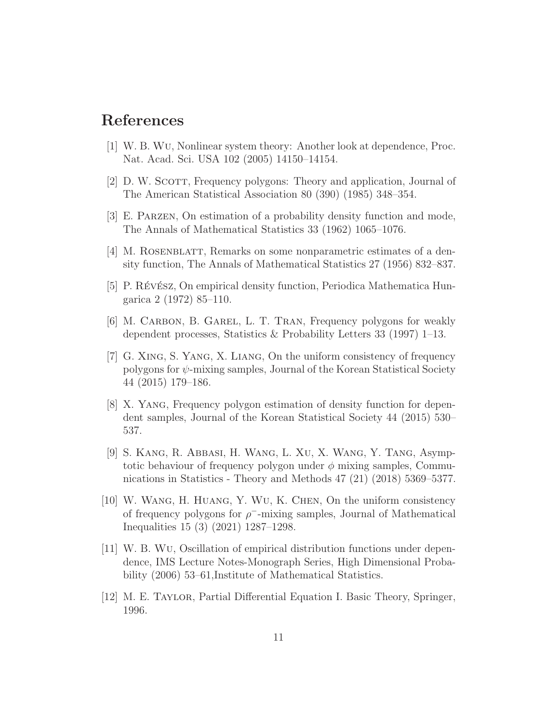## <span id="page-10-0"></span>References

- <span id="page-10-1"></span>[1] W. B. Wu, Nonlinear system theory: Another look at dependence, Proc. Nat. Acad. Sci. USA 102 (2005) 14150–14154.
- <span id="page-10-2"></span>[2] D. W. Scott, Frequency polygons: Theory and application, Journal of The American Statistical Association 80 (390) (1985) 348–354.
- <span id="page-10-3"></span>[3] E. Parzen, On estimation of a probability density function and mode, The Annals of Mathematical Statistics 33 (1962) 1065–1076.
- <span id="page-10-4"></span>[4] M. ROSENBLATT, Remarks on some nonparametric estimates of a density function, The Annals of Mathematical Statistics 27 (1956) 832–837.
- <span id="page-10-5"></span>[5] P. Révész, On empirical density function, Periodica Mathematica Hungarica 2 (1972) 85–110.
- <span id="page-10-6"></span>[6] M. Carbon, B. Garel, L. T. Tran, Frequency polygons for weakly dependent processes, Statistics & Probability Letters 33 (1997) 1–13.
- [7] G. Xing, S. Yang, X. Liang, On the uniform consistency of frequency polygons for  $\psi$ -mixing samples, Journal of the Korean Statistical Society 44 (2015) 179–186.
- <span id="page-10-7"></span>[8] X. Yang, Frequency polygon estimation of density function for dependent samples, Journal of the Korean Statistical Society 44 (2015) 530– 537.
- <span id="page-10-8"></span>[9] S. Kang, R. Abbasi, H. Wang, L. Xu, X. Wang, Y. Tang, Asymptotic behaviour of frequency polygon under  $\phi$  mixing samples, Communications in Statistics - Theory and Methods 47 (21) (2018) 5369–5377.
- <span id="page-10-9"></span>[10] W. Wang, H. Huang, Y. Wu, K. Chen, On the uniform consistency of frequency polygons for  $\rho$ <sup>-</sup>-mixing samples, Journal of Mathematical Inequalities 15 (3) (2021) 1287–1298.
- <span id="page-10-10"></span>[11] W. B. Wu, Oscillation of empirical distribution functions under dependence, IMS Lecture Notes-Monograph Series, High Dimensional Probability (2006) 53–61, Institute of Mathematical Statistics.
- <span id="page-10-11"></span>[12] M. E. Taylor, Partial Differential Equation I. Basic Theory, Springer, 1996.